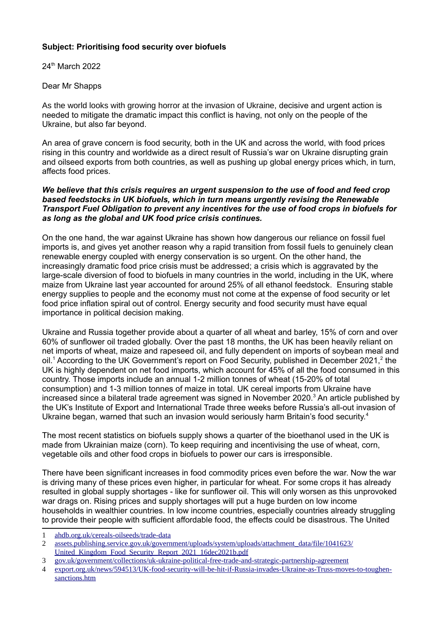## **Subject: Prioritising food security over biofuels**

24th March 2022

Dear Mr Shapps

As the world looks with growing horror at the invasion of Ukraine, decisive and urgent action is needed to mitigate the dramatic impact this conflict is having, not only on the people of the Ukraine, but also far beyond.

An area of grave concern is food security, both in the UK and across the world, with food prices rising in this country and worldwide as a direct result of Russia's war on Ukraine disrupting grain and oilseed exports from both countries, as well as pushing up global energy prices which, in turn, affects food prices.

## *We believe that this crisis requires an urgent suspension to the use of food and feed crop based feedstocks in UK biofuels, which in turn means urgently revising the Renewable Transport Fuel Obligation to prevent any incentives for the use of food crops in biofuels for as long as the global and UK food price crisis continues.*

On the one hand, the war against Ukraine has shown how dangerous our reliance on fossil fuel imports is, and gives yet another reason why a rapid transition from fossil fuels to genuinely clean renewable energy coupled with energy conservation is so urgent. On the other hand, the increasingly dramatic food price crisis must be addressed; a crisis which is aggravated by the large-scale diversion of food to biofuels in many countries in the world, including in the UK, where maize from Ukraine last year accounted for around 25% of all ethanol feedstock. Ensuring stable energy supplies to people and the economy must not come at the expense of food security or let food price inflation spiral out of control. Energy security and food security must have equal importance in political decision making.

<span id="page-0-2"></span><span id="page-0-0"></span>Ukraine and Russia together provide about a quarter of all wheat and barley, 15% of corn and over 60% of sunflower oil traded globally. Over the past 18 months, the UK has been heavily reliant on net imports of wheat, maize and rapeseed oil, and fully dependent on imports of soybean meal and oil.<sup>[1](#page-0-1)</sup> According to the UK Government's report on Food Security, published in December [2](#page-0-3)021,<sup>2</sup> the UK is highly dependent on net food imports, which account for 45% of all the food consumed in this country. Those imports include an annual 1-2 million tonnes of wheat (15-20% of total consumption) and 1-3 million tonnes of maize in total. UK cereal imports from Ukraine have increased since a bilateral trade agreement was signed in November 2020. $^3$  $^3$  An article published by the UK's Institute of Export and International Trade three weeks before Russia's all-out invasion of Ukraine began, warned that such an invasion would seriously harm Britain's food security.<sup>[4](#page-0-7)</sup>

<span id="page-0-6"></span><span id="page-0-4"></span>The most recent statistics on biofuels supply shows a quarter of the bioethanol used in the UK is made from Ukrainian maize (corn). To keep requiring and incentivising the use of wheat, corn, vegetable oils and other food crops in biofuels to power our cars is irresponsible.

There have been significant increases in food commodity prices even before the war. Now the war is driving many of these prices even higher, in particular for wheat. For some crops it has already resulted in global supply shortages - like for sunflower oil. This will only worsen as this unprovoked war drags on. Rising prices and supply shortages will put a huge burden on low income households in wealthier countries. In low income countries, especially countries already struggling to provide their people with sufficient affordable food, the effects could be disastrous. The United

<span id="page-0-1"></span>[1](#page-0-0) [ahdb.org.uk/cereals-oilseeds/trade-data](https://ahdb.org.uk/cereals-oilseeds/trade-data)

<span id="page-0-5"></span>[3](#page-0-4) [gov.uk/government/collections/uk-ukraine-political-free-trade-and-strategic-partnership-agreement](https://www.gov.uk/government/collections/uk-ukraine-political-free-trade-and-strategic-partnership-agreement)

<span id="page-0-3"></span>[<sup>2</sup>](#page-0-2) [assets.publishing.service.gov.uk/government/uploads/system/uploads/attachment\\_data/file/1041623/](https://assets.publishing.service.gov.uk/government/uploads/system/uploads/attachment_data/file/1041623/United_Kingdom_Food_Security_Report_2021_16dec2021b.pdf) United Kingdom Food Security Report 2021\_16dec2021b.pdf

<span id="page-0-7"></span>[<sup>4</sup>](#page-0-6) [export.org.uk/news/594513/UK-food-security-will-be-hit-if-Russia-invades-Ukraine-as-Truss-moves-to-toughen](https://www.export.org.uk/news/594513/UK-food-security-will-be-hit-if-Russia-invades-Ukraine-as-Truss-moves-to-toughen-sanctions.htm)[sanctions.htm](https://www.export.org.uk/news/594513/UK-food-security-will-be-hit-if-Russia-invades-Ukraine-as-Truss-moves-to-toughen-sanctions.htm)